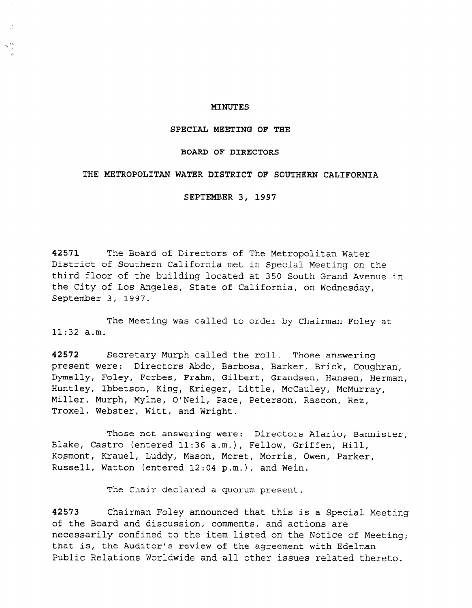#### MINUTES

SPECIAL MEETING OF THE

#### BOARD OF DIRECTORS

#### THE METROPOLITAN WATER DISTRICT OF SOUTHERN CALIFORNIA

SEPTEMBER 3, 1997

42571 The Board of Directors of The Metropolitan Water District of Southern California met in Special Meeting on the third floor of the building located at 350 South Grand Avenue in the City of Los Angeles, State of California, on Wednesday, September 3, 1997.

The Meeting was called to order by Chairman Foley at 11:32 a.m.

 $\frac{1}{2}$  Secretary Murph called the roll. Those answering the roll. Those answering the roll. Those answering the roll. Those answering the roll. Those answering the roll. Those answering the roll. The roll is a secretar **Present were absoluted were abdom**, Barbosa, Barbosa, Britan, Britan, Britan, Britan, Britan, Britan, Britan, B present were: Directors Abdo, Barbosa, Barker, Brick, Coughran, Dymally, Foley, Forbes, Frahm, Gilbert, Grandsen, Hansen, Herman, Huntley, Ibbetson, King, Krieger, Little, McCauley, McMurray, Miller, Murph, Mylne, O'Neil, Pace, Peterson, Rascon, Rez, Troxel, Webster, Witt, and Wright.

Those not answering were: Directors Alario, Bannister, Blake, Castro (entered 11:36 a.m.), Fellow, Griffen, Hill, Kosmont, Krauel, Luddy, Mason, Moret, Morris, Owen, Parker,<br>Russell, Watton (entered 12:04 p.m.), and Wein.

The Chair declared a quorum present.

42573 Chairman Foley announced that this is a Special Meeting of the Board and discussion, comments, and actions are necessarily confined to the item listed on the Notice of Meeting; that is, the Auditor's review of the agreement with Edelman Public Relations Worldwide and all other issues related thereto.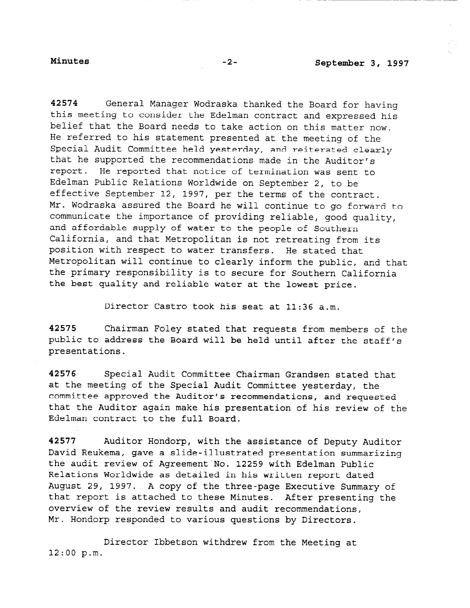42574 General Manager Wodraska thanked the Board for having this meeting to consider the Edelman contract and expressed his belief that the Board needs to take action on this matter now. He referred to his statement presented at the meeting of the Special Audit Committee held yesterday, and reiterated clearly that he supported the recommendations made in the Auditor's report. He reported that notice of termination was sent to Edelman Public Relations Worldwide on September 2, to be effective September 12, 1997, per the terms of the contract. Mr. Wodraska assured the Board he will continue to go forward to communicate the importance of providing reliable, good quality, and affordable supply of water to the people of Southern California, and that Metropolitan is not retreating from its position with respect to water transfers. He stated that Metropolitan will continue to clearly inform the public, and that the primary responsibility is to secure for Southern California the best quality and reliable water at the lowest price.

Director Castro took his seat at 11:36 a.m.

42575 Chairman Foley stated that requests from members of the public to address the Board will be held until after the staff's presentations.

42576 Special Audit Committee Chairman Grandsen stated that at the meeting of the Special Audit Committee yesterday, the committee approved the Auditor's recommendations, and requested that the Auditor again make his presentation of his review of the Edelman contract to the full Board.

42577 Auditor Hondorp, with the assistance of Deputy Auditor David Reukema, gave a slide-illustrated presentation summarizing the audit review of Agreement'No. 12259 with Edelman Public Relations Worldwide as detailed in his written report dated August 29, 1997. A copy of the three-page Executive Summary of that report is attached to these Minutes. After presenting the over report to accudite to those minutes. More provided Mr. How of the fevrew results and addit recommendat.

Director Ibbetson withdrew from the Meeting at 12:00 p.m.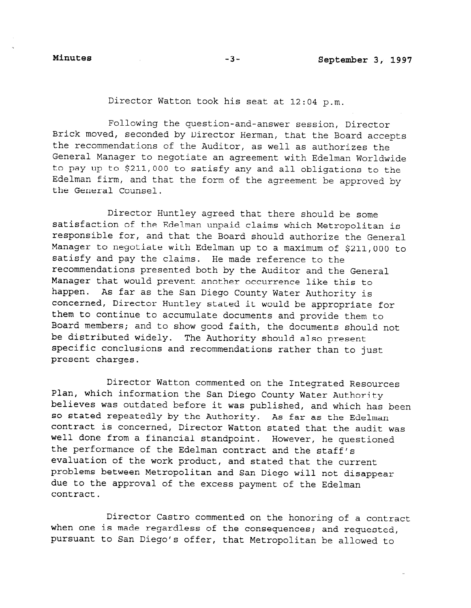Director Watton took his seat at 12:04 p.m.

Following the question-and-answer session, Director Brick moved, seconded by Director Herman, that the Board accepts the recommendations of the Auditor, as well as authorizes the General Manager to negotiate an agreement with Edelman Worldwide to pay up to \$211,000 to satisfy any and all obligations to the Edelman firm, and that the form of the agreement be approved by the General Counsel.

Director Huntley agreed that there should be some satisfaction of the Edelman unpaid claims which Metropolitan is responsible for, and that the Board should authorize the General Manager to negotiate with Edelman up to a maximum of \$211,000 to satisfy and pay the claims. He made reference to the recommendations presented both by the Auditor and the General Manager that would prevent another occurrence like this to happen. As far as the San Diego County Water Authority is concerned, Director Huntley stated it would be appropriate for them to continue to accumulate documents and provide them to Board members; and to show good faith, the documents should not be distributed widely. The Authority should also present specific conclusions and recommendations rather than to just present charges.

Director Watton commented on the Integrated Resources Plan, which information the San Diego County Water Authority believes was outdated before it was published, and which has been so stated repeatedly by the Authority. As far as the Edelman contract is concerned, Director Watton stated that the audit was well done from a financial standpoint. However, he guestioned  $t_{\text{th}}$  performance of the  $E$   $\frac{1}{2}$  and  $\frac{1}{2}$ the performance of the Edelman contract and the staff's evaluation of the work product, and stated that the current problems between Metropolitan and San Diego will not disappear due to the approval of the excess payment of the Edelman contract.

Director Castro commented on the honoring of a contract when one is made regardless of the consequences; and requested, pursuant to San Diego's offer, that Metropolitan be allowed to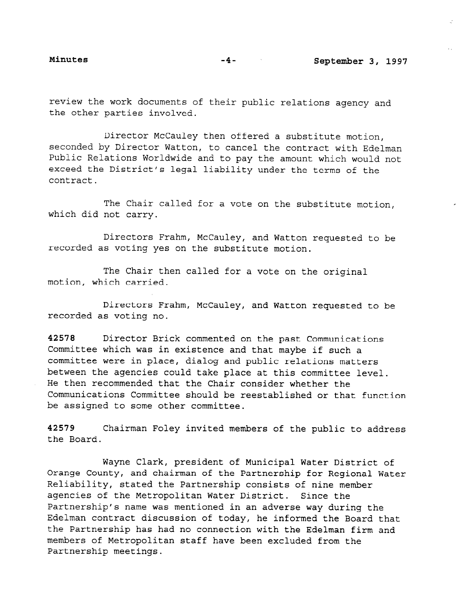review the work documents of their public relations agency and the other parties involved.

Director McCauley then offered a substitute motion, seconded by Director Watton, to cancel the contract with Edelman Public Relations Worldwide and to pay the amount which would not exceed the District's legal liability under the terms of the contract.

The Chair called for a vote on the substitute motion, which did not carry.

Directors Frahm, McCauley, and Watton requested to be recorded as voting yes on the substitute motion.

The Chair then called for a vote on the original motion, which carried.

Directors Frahm, McCauley, and Watton requested to be recorded as voting no.

42578 Director Brick commented on the past Communications Committee which was in existence and that maybe if such a committee were in place, dialog and public relations matters between the agencies could take place at this committee level. He then recommended that the Chair consider whether the Communications Committee should be reestablished or that function be assigned to some other committee.

42579 Chairman Foley invited members of the public to address the Board.

Wayne Clark, president of Municipal Water District of Orange County, and chairman of the Partnership for Regional Water Reliability, stated the Partnership consists of nine member agencies of the Metropolitan Water District. Since the agenered of the netroporteur mater district. Dinee the ractive single was mentioned in an adverse way during the Edelman contract discussion of today, he informed the Board that<br>the Partnership has had no connection with the Edelman firm and end farencianity has had no connection with the Bueinan from the state of the state of the state of the state of the state of the state of the state of the state of the state of the state of the state of the state of the s members of meetopor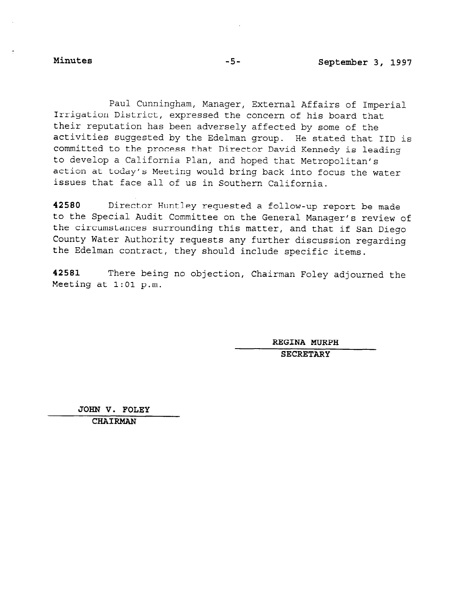Paul Cunningham, Manager, External Affairs of Imperial Irrigation District, expressed the concern of his board that their reputation has been adversely affected by some of the activities suggested by the Edelman group. He stated that IID is committed to the process that Director David Kennedy is leading to develop a California Plan, and hoped that Metropolitan's action at today's Meeting would bring back into focus the water issues that face all of us in Southern California.

42580 Director Huntley requested a follow-up report be made to the Special Audit Committee on the General Manager's review of the circumstances surrounding the conclusion matter is review the circumstances surrounding this matter, and that if San Diego<br>County Water Authority requests any further discussion regarding the Edelman contract, they should include specific items.

42581 There being no objection, Chairman Foley adjourned the Meeting at 1:Ol p.m.

SSENA NOR

JOHN V. FOLEY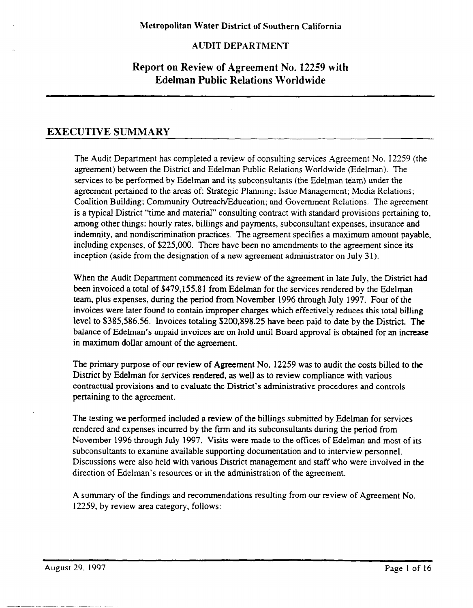## AUDIT DEPARTMENT

# Report on Review of Agreement No. 12259 with Edelman Public Relations Worldwide

## EXECUTIVE SUMMARY

The Audit Department has completed a review of consulting services Agreement No. 12259 (the agreement) between the District and Edelman Public Relations Worldwide (Edelman). The services to be performed by Edelman and its subconsultants (the Edelman team) under the agreement pertained to the areas of: Strategic Planning; Issue Management; Media Relations; Coalition Building; Community Outreach/Education; and Government Relations. The agreement is a typical District "time and material" consulting contract with standard provisions pertaining to, among other things: hourly rates, billings and payments, subconsultant expenses, insurance and indemnity, and nondiscrimination practices. The agreement specifies a maximum amount payable, including expenses, of \$225,000. There have been no amendments to the agreement since its inception (aside from the designation of a new agreement administrator on July 31).

When the Audit Department commenced its review of the agreement in late July, the District had been invoiced a total of \$479.1558 1 from Edelman for the services rendered by the Edelman team, plus expenses, during the period from November 1996 through July 1997. Four of the invoices were later found to contain improper charges which effectively reduces this total billing level to \$385.586.56. Invoices totaling \$200.898.25 have been paid to date by the District. The balance of Edelman's unpaid invoices are on hold until Board approval is obtained for an increase in maximum dollar amount of the agreement.

The primary purpose of our review of Agreement No. 12259 was to audit the costs billed to the District by Edelman for services rendered, as well as to review compliance with various contractual provisions and to evaluate the District's administrative procedures and controls pertaining to the agreement.

The testing we performed included a review of the billings submitted by Edelman for services rendered and expenses incurred by the fum and its subconsultants during the period from November 1996 through July 1997. Visits were made to the offices of Edelman and most of its subconsultants to examine available supporting documentation and to interview personnel. Discussions were also held with various District management and staff who were involved in the direction of Edelman's resources or in the administration of the agreement.

A summary of the findings and recommendations resulting from our review of Agreement No. 12259, by review area category, follows: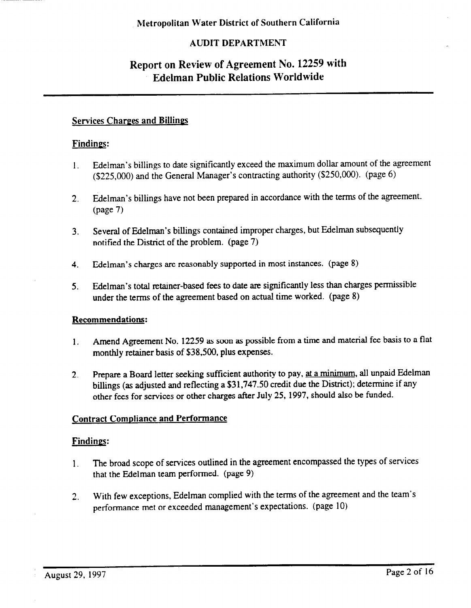## AUDIT DEPARTMENT

# Report on Review of Agreement No. 12259 with Edelman Public Relations Worldwide

## Services Charges and Billings

### Findings:

- 1. Edelman's billings to date significantly exceed the maximum dollar amount of the agreement (\$225,000) and the General Manager's contracting authority (\$250,000). (page 6)
- 2. Edelman's billings have not been prepared in accordance with the terms of the agreement. (page 7)
- 3. Several of Edelman's billings contained improper charges, but Edelrnan subsequently notified the District of the problem. (page 7)
- 4. Edelman's charges are reasonably supported in most instances. (page 8)
- 5. Edelman's total retainer-based fees to date are significantly less than charges permissible under the terms of the agreement based on actual time worked. (page 8)

### Recommendations:

- 1. Amend Agreement No. 12259 as soon as possible from a time and material fee basis to a flat monthly retainer basis of \$38,500, plus expenses.
- 2. Prepare a Board letter seeking sufficient authority to pay, at a minimum, all unpaid Edelman billings (as adjusted and reflecting a \$31.747.50 credit due the District); determine if any other fees for services or other charges after July 25, 1997, should also be funded.

### **Contract Compliance and Performance**

### Findings:

- 1. The broad scope of services outlined in the agreement encompassed the types of services that the Edelman team performed. (page 9)
- 2. With few exceptions, Edelman complied with the terms of the agreement and the team's performance met or exceeded management's expectations. (page 10)